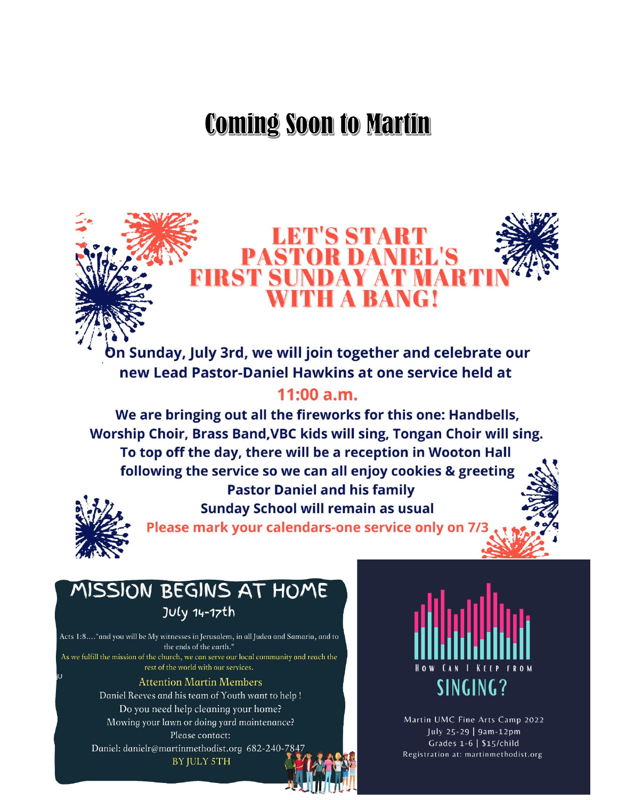# **Coming Soon to Martin**



In Sunday, July 3rd, we will join together and celebrate our new Lead Pastor-Daniel Hawkins at one service held at

# $11:00 a.m.$

We are bringing out all the fireworks for this one: Handbells, Worship Choir, Brass Band, VBC kids will sing, Tongan Choir will sing. To top off the day, there will be a reception in Wooton Hall following the service so we can all enjoy cookies & greeting **Pastor Daniel and his family** 



**Sunday School will remain as usual** 

Please mark your calendars-one service only on 7/3

# MISSION BEGINS AT HOME **JULy 14-17th**

Acts 1:8...."and you will be My witnesses in Jerusalem, in all Judea and Samaria, and to the ends of the earth." As we fulfill the mission of the church, we can serve our local community and reach the rest of the world with our services. **Attention Martin Members** 

Daniel Reeves and his team of Youth want to help! Do you need help cleaning your home? Mowing your lawn or doing yard maintenance? Please contact:

Daniel: danielr@martinmethodist.org 682-240-7847 BY JULY 5TH



Martin UMC Fine Arts Camp 2022 July 25-29 | 9am-12pm Grades  $1-6$  | \$15/child Registration at: martinmethodist.org